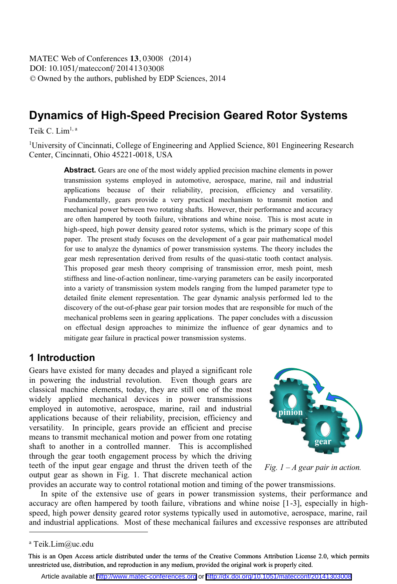DOI: 10.1051/matecconf/20141303008 -<sup>C</sup> Owned by the authors, published by EDP Sciences, 2014 MATEC Web of Conferences **13**, 03008 (2014)

# **Dynamics of High-Speed Precision Geared Rotor Systems**

Teik C. Lim1, a

<sup>1</sup>University of Cincinnati, College of Engineering and Applied Science, 801 Engineering Research Center, Cincinnati, Ohio 45221-0018, USA

> **Abstract.** Gears are one of the most widely applied precision machine elements in power transmission systems employed in automotive, aerospace, marine, rail and industrial applications because of their reliability, precision, efficiency and versatility. Fundamentally, gears provide a very practical mechanism to transmit motion and mechanical power between two rotating shafts. However, their performance and accuracy are often hampered by tooth failure, vibrations and whine noise. This is most acute in high-speed, high power density geared rotor systems, which is the primary scope of this paper. The present study focuses on the development of a gear pair mathematical model for use to analyze the dynamics of power transmission systems. The theory includes the gear mesh representation derived from results of the quasi-static tooth contact analysis. This proposed gear mesh theory comprising of transmission error, mesh point, mesh stiffness and line-of-action nonlinear, time-varying parameters can be easily incorporated into a variety of transmission system models ranging from the lumped parameter type to detailed finite element representation. The gear dynamic analysis performed led to the discovery of the out-of-phase gear pair torsion modes that are responsible for much of the mechanical problems seen in gearing applications. The paper concludes with a discussion on effectual design approaches to minimize the influence of gear dynamics and to mitigate gear failure in practical power transmission systems.

### **1 Introduction**

Gears have existed for many decades and played a significant role in powering the industrial revolution. Even though gears are classical machine elements, today, they are still one of the most widely applied mechanical devices in power transmissions employed in automotive, aerospace, marine, rail and industrial applications because of their reliability, precision, efficiency and versatility. In principle, gears provide an efficient and precise means to transmit mechanical motion and power from one rotating shaft to another in a controlled manner. This is accomplished through the gear tooth engagement process by which the driving teeth of the input gear engage and thrust the driven teeth of the output gear as shown in Fig. 1. That discrete mechanical action provides an accurate way to control rotational motion and timing of the power transmissions.



*Fig. 1 – A gear pair in action.* 

In spite of the extensive use of gears in power transmission systems, their performance and accuracy are often hampered by tooth failure, vibrations and whine noise [1-3], especially in highspeed, high power density geared rotor systems typically used in automotive, aerospace, marine, rail and industrial applications. Most of these mechanical failures and excessive responses are attributed

 $\overline{a}$ 

Article available at <http://www.matec-conferences.org> or <http://dx.doi.org/10.1051/matecconf/20141303008>

a Teik.Lim@uc.edu

This is an Open Access article distributed under the terms of the Creative Commons Attribution License 2.0, which permits unrestricted use, distribution, and reproduction in any medium, provided the original work is properly cited.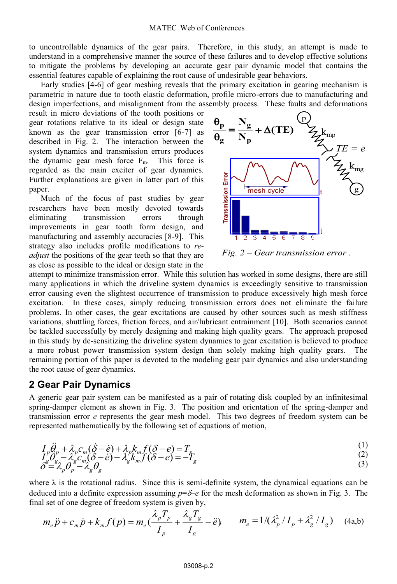#### MATEC Web of Conferences

to uncontrollable dynamics of the gear pairs. Therefore, in this study, an attempt is made to understand in a comprehensive manner the source of these failures and to develop effective solutions to mitigate the problems by developing an accurate gear pair dynamic model that contains the essential features capable of explaining the root cause of undesirable gear behaviors.

Early studies [4-6] of gear meshing reveals that the primary excitation in gearing mechanism is parametric in nature due to tooth elastic deformation, profile micro-errors due to manufacturing and design imperfections, and misalignment from the assembly process. These faults and deformations

result in micro deviations of the tooth positions or gear rotations relative to its ideal or design state known as the gear transmission error [6-7] as described in Fig. 2. The interaction between the system dynamics and transmission errors produces the dynamic gear mesh force  $F_m$ . This force is regarded as the main exciter of gear dynamics. Further explanations are given in latter part of this paper.

Much of the focus of past studies by gear researchers have been mostly devoted towards eliminating transmission errors through improvements in gear tooth form design, and manufacturing and assembly accuracies [8-9]. This strategy also includes profile modifications to *readjust* the positions of the gear teeth so that they are as close as possible to the ideal or design state in the



*Fig. 2 – Gear transmission error .* 

attempt to minimize transmission error. While this solution has worked in some designs, there are still many applications in which the driveline system dynamics is exceedingly sensitive to transmission error causing even the slightest occurrence of transmission to produce excessively high mesh force excitation. In these cases, simply reducing transmission errors does not eliminate the failure problems. In other cases, the gear excitations are caused by other sources such as mesh stiffness variations, shuttling forces, friction forces, and air/lubricant entrainment [10]. Both scenarios cannot be tackled successfully by merely designing and making high quality gears. The approach proposed in this study by de-sensitizing the driveline system dynamics to gear excitation is believed to produce a more robust power transmission system design than solely making high quality gears. The remaining portion of this paper is devoted to the modeling gear pair dynamics and also understanding the root cause of gear dynamics.

#### **2 Gear Pair Dynamics**

A generic gear pair system can be manifested as a pair of rotating disk coupled by an infinitesimal spring-damper element as shown in Fig. 3. The position and orientation of the spring-damper and transmission error *e* represents the gear mesh model. This two degrees of freedom system can be represented mathematically by the following set of equations of motion,

$$
I_{\nu}\ddot{\theta}_{\nu} + \lambda_{\nu}c_{m}(\dot{\theta} - \dot{e}) + \lambda_{\nu}k_{m}f(\delta - e) = T_{\mu} \tag{1}
$$

$$
I_{\rho}^{\theta} \theta_{\rho} + \lambda_{\rho} C_{m} (0 - e) + \lambda_{\rho} K_{m} J (0 - e) = I_{\rho} I_{\rho}^{\theta} \theta_{\rho} - \lambda_{g} C_{m} (\delta - e) - \lambda_{g} K_{m} f (\delta - e) = -I_{g} \delta = \lambda_{\rho} \theta_{\rho} - \lambda_{g} \theta_{g}
$$
\n(3)

where  $\lambda$  is the rotational radius. Since this is semi-definite system, the dynamical equations can be deduced into a definite expression assuming  $p=\delta$ - $e$  for the mesh deformation as shown in Fig. 3. The final set of one degree of freedom system is given by,

$$
m_e \ddot{p} + c_m \dot{p} + k_m f(p) = m_e \left( \frac{\lambda_p T_p}{I_p} + \frac{\lambda_g T_g}{I_g} - \ddot{e} \right) \qquad m_e = 1 / \left( \frac{\lambda_p^2}{I_p} + \frac{\lambda_g^2}{I_g} \right) \tag{4a,b}
$$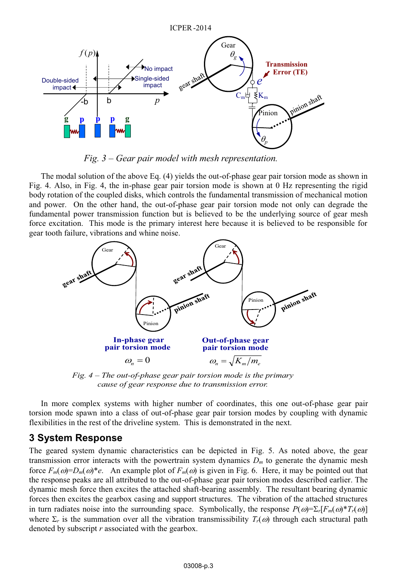

*Fig. 3 – Gear pair model with mesh representation.* 

The modal solution of the above Eq. (4) yields the out-of-phase gear pair torsion mode as shown in Fig. 4. Also, in Fig. 4, the in-phase gear pair torsion mode is shown at 0 Hz representing the rigid body rotation of the coupled disks, which controls the fundamental transmission of mechanical motion and power. On the other hand, the out-of-phase gear pair torsion mode not only can degrade the fundamental power transmission function but is believed to be the underlying source of gear mesh force excitation. This mode is the primary interest here because it is believed to be responsible for gear tooth failure, vibrations and whine noise.



*Fig. 4 – The out-of-phase gear pair torsion mode is the primary cause of gear response due to transmission error.* 

In more complex systems with higher number of coordinates, this one out-of-phase gear pair torsion mode spawn into a class of out-of-phase gear pair torsion modes by coupling with dynamic flexibilities in the rest of the driveline system. This is demonstrated in the next.

### **3 System Response**

The geared system dynamic characteristics can be depicted in Fig. 5. As noted above, the gear transmission error interacts with the powertrain system dynamics *Dm* to generate the dynamic mesh force  $F_m(\omega)=D_m(\omega)^*e$ . An example plot of  $F_m(\omega)$  is given in Fig. 6. Here, it may be pointed out that the response peaks are all attributed to the out-of-phase gear pair torsion modes described earlier. The dynamic mesh force then excites the attached shaft-bearing assembly. The resultant bearing dynamic forces then excites the gearbox casing and support structures. The vibration of the attached structures in turn radiates noise into the surrounding space. Symbolically, the response  $P(\omega) = \sum_r [F_m(\omega) * T_r(\omega)]$ where  $\Sigma_r$  is the summation over all the vibration transmissibility  $T_r(\omega)$  through each structural path denoted by subscript *r* associated with the gearbox.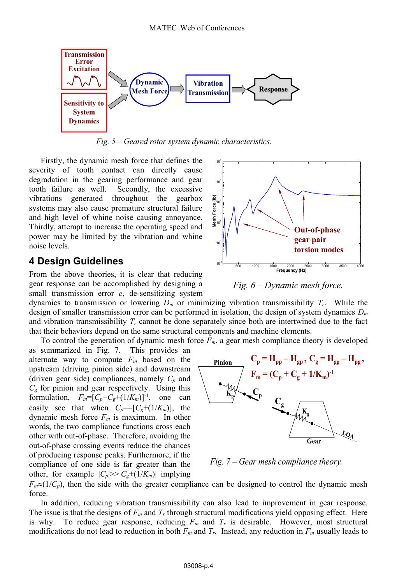

*Fig. 5 – Geared rotor system dynamic characteristics.* 

Firstly, the dynamic mesh force that defines the severity of tooth contact can directly cause degradation in the gearing performance and gear tooth failure as well. Secondly, the excessive vibrations generated throughout the gearbox systems may also cause premature structural failure and high level of whine noise causing annoyance. Thirdly, attempt to increase the operating speed and power may be limited by the vibration and whine noise levels.

### **4 Design Guidelines**

From the above theories, it is clear that reducing gear response can be accomplished by designing a small transmission error *e*, de-sensitizing system

dynamics to transmission or lowering *Dm* or minimizing vibration transmissibility *Tr*. While the design of smaller transmission error can be performed in isolation, the design of system dynamics *Dm* and vibration transmissibility  $T_r$  cannot be done separately since both are intertwined due to the fact that their behaviors depend on the same structural components and machine elements.

To control the generation of dynamic mesh force *Fm*, a gear mesh compliance theory is developed as summarized in Fig. 7. This provides an

alternate way to compute  $F_m$  based on the upstream (driving pinion side) and downstream (driven gear side) compliances, namely  $C_p$  and *Cg* for pinion and gear respectively. Using this formulation,  $F_m=[C_p+C_g+(1/K_m)]^{-1}$ , one can easily see that when  $C_p = -[C_g + (1/K_m)]$ , the dynamic mesh force  $F_m$  is maximum. In other words, the two compliance functions cross each other with out-of-phase. Therefore, avoiding the out-of-phase crossing events reduce the chances of producing response peaks. Furthermore, if the compliance of one side is far greater than the other, for example  $|C_p|>>|C_g+(1/K_m)|$  implying



*Fig. 7 – Gear mesh compliance theory.* 

 $F_m \approx (1/C_p)$ , then the side with the greater compliance can be designed to control the dynamic mesh force.

In addition, reducing vibration transmissibility can also lead to improvement in gear response. The issue is that the designs of *Fm* and *Tr* through structural modifications yield opposing effect. Here is why. To reduce gear response, reducing  $F_m$  and  $T_r$  is desirable. However, most structural modifications do not lead to reduction in both *Fm* and *Tr*. Instead, any reduction in *Fm* usually leads to



*Fig. 6 – Dynamic mesh force.*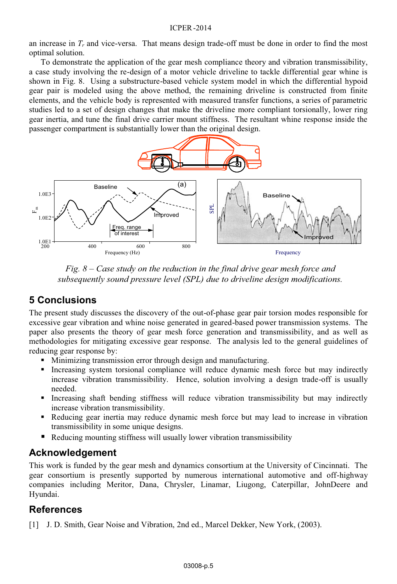#### ICPER -2014

an increase in *Tr* and vice-versa. That means design trade-off must be done in order to find the most optimal solution.

To demonstrate the application of the gear mesh compliance theory and vibration transmissibility, a case study involving the re-design of a motor vehicle driveline to tackle differential gear whine is shown in Fig. 8. Using a substructure-based vehicle system model in which the differential hypoid gear pair is modeled using the above method, the remaining driveline is constructed from finite elements, and the vehicle body is represented with measured transfer functions, a series of parametric studies led to a set of design changes that make the driveline more compliant torsionally, lower ring gear inertia, and tune the final drive carrier mount stiffness. The resultant whine response inside the passenger compartment is substantially lower than the original design.



*Fig. 8 – Case study on the reduction in the final drive gear mesh force and subsequently sound pressure level (SPL) due to driveline design modifications.* 

## **5 Conclusions**

The present study discusses the discovery of the out-of-phase gear pair torsion modes responsible for excessive gear vibration and whine noise generated in geared-based power transmission systems. The paper also presents the theory of gear mesh force generation and transmissibility, and as well as methodologies for mitigating excessive gear response. The analysis led to the general guidelines of reducing gear response by:

- Minimizing transmission error through design and manufacturing.
- Increasing system torsional compliance will reduce dynamic mesh force but may indirectly increase vibration transmissibility. Hence, solution involving a design trade-off is usually needed.
- Increasing shaft bending stiffness will reduce vibration transmissibility but may indirectly increase vibration transmissibility.
- - Reducing gear inertia may reduce dynamic mesh force but may lead to increase in vibration transmissibility in some unique designs.
- -Reducing mounting stiffness will usually lower vibration transmissibility

## **Acknowledgement**

This work is funded by the gear mesh and dynamics consortium at the University of Cincinnati. The gear consortium is presently supported by numerous international automotive and off-highway companies including Meritor, Dana, Chrysler, Linamar, Liugong, Caterpillar, JohnDeere and Hyundai.

## **References**

[1] J. D. Smith, Gear Noise and Vibration, 2nd ed., Marcel Dekker, New York, (2003).